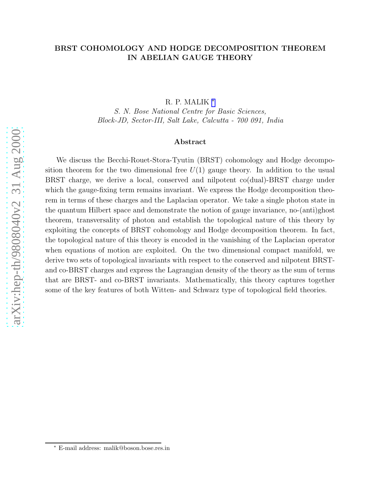# BRST COHOMOLOGY AND HODGE DECOMPOSITION THEOREM IN ABELIAN GAUGE THEORY

R. P. MALIK \*

S. N. Bose National Centre for Basic Sciences, Block-JD, Sector-III, Salt Lake, Calcutta - 700 091, India

#### Abstract

We discuss the Becchi-Rouet-Stora-Tyutin (BRST) cohomology and Hodge decomposition theorem for the two dimensional free  $U(1)$  gauge theory. In addition to the usual BRST charge, we derive a local, conserved and nilpotent co(dual)-BRST charge under which the gauge-fixing term remains invariant. We express the Hodge decomposition theorem in terms of these charges and the Laplacian operator. We take a single photon state in the quantum Hilbert space and demonstrate the notion of gauge invariance, no-(anti)ghost theorem, transversality of photon and establish the topological nature of this theory by exploiting the concepts of BRST cohomology and Hodge decomposition theorem. In fact, the topological nature of this theory is encoded in the vanishing of the Laplacian operator when equations of motion are exploited. On the two dimensional compact manifold, we derive two sets of topological invariants with respect to the conserved and nilpotent BRSTand co-BRST charges and express the Lagrangian density of the theory as the sum of terms that are BRST- and co-BRST invariants. Mathematically, this theory captures together some of the key features of both Witten- and Schwarz type of topological field theories.

<sup>∗</sup> E-mail address: malik@boson.bose.res.in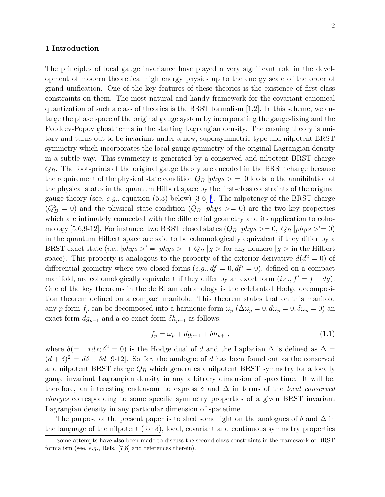# 1 Introduction

The principles of local gauge invariance have played a very significant role in the development of modern theoretical high energy physics up to the energy scale of the order of grand unification. One of the key features of these theories is the existence of first-class constraints on them. The most natural and handy framework for the covariant canonical quantization of such a class of theories is the BRST formalism  $[1,2]$ . In this scheme, we enlarge the phase space of the original gauge system by incorporating the gauge-fixing and the Faddeev-Popov ghost terms in the starting Lagrangian density. The ensuing theory is unitary and turns out to be invariant under a new, supersymmetric type and nilpotent BRST symmetry which incorporates the local gauge symmetry of the original Lagrangian density in a subtle way. This symmetry is generated by a conserved and nilpotent BRST charge  $Q_B$ . The foot-prints of the original gauge theory are encoded in the BRST charge because the requirement of the physical state condition  $Q_B$  |*phys*  $>$  = 0 leads to the annihilation of the physical states in the quantum Hilbert space by the first-class constraints of the original gauge theory (see, e.g., equation (5.3) below) [3-6] <sup>†</sup>. The nilpotency of the BRST charge  $(Q_B^2 = 0)$  and the physical state condition  $(Q_B | phys >= 0)$  are the two key properties which are intimately connected with the differential geometry and its application to cohomology [5,6,9-12]. For instance, two BRST closed states  $(Q_B | phys >= 0, Q_B | phys >= 0)$ in the quantum Hilbert space are said to be cohomologically equivalent if they differ by a BRST exact state  $(i.e., |phys \rangle = |phys \rangle + Q_B |{\chi} >$  for any nonzero  $|{\chi} >$  in the Hilbert space). This property is analogous to the property of the exterior derivative  $d(d^2 = 0)$  of differential geometry where two closed forms  $(e.g., df = 0, df' = 0)$ , defined on a compact manifold, are cohomologically equivalent if they differ by an exact form  $(i.e., f' = f + dg)$ . One of the key theorems in the de Rham cohomology is the celebrated Hodge decomposition theorem defined on a compact manifold. This theorem states that on this manifold any p-form  $f_p$  can be decomposed into a harmonic form  $\omega_p$  ( $\Delta \omega_p = 0, d\omega_p = 0, \delta \omega_p = 0$ ) and exact form  $dg_{p-1}$  and a co-exact form  $\delta h_{p+1}$  as follows:

$$
f_p = \omega_p + dg_{p-1} + \delta h_{p+1},
$$
\n(1.1)

where  $\delta(=\pm *d*;\delta^2=0)$  is the Hodge dual of d and the Laplacian  $\Delta$  is defined as  $\Delta=$  $(d + \delta)^2 = d\delta + \delta d$  [9-12]. So far, the analogue of d has been found out as the conserved and nilpotent BRST charge  $Q_B$  which generates a nilpotent BRST symmetry for a locally gauge invariant Lagrangian density in any arbitrary dimension of spacetime. It will be, therefore, an interesting endeavour to express  $\delta$  and  $\Delta$  in terms of the *local conserved* charges corresponding to some specific symmetry properties of a given BRST invariant Lagrangian density in any particular dimension of spacetime.

The purpose of the present paper is to shed some light on the analogues of  $\delta$  and  $\Delta$  in the language of the nilpotent (for  $\delta$ ), local, covariant and continuous symmetry properties

<sup>†</sup>Some attempts have also been made to discuss the second class constraints in the framework of BRST formalism (see, e.g., Refs. [7,8] and references therein).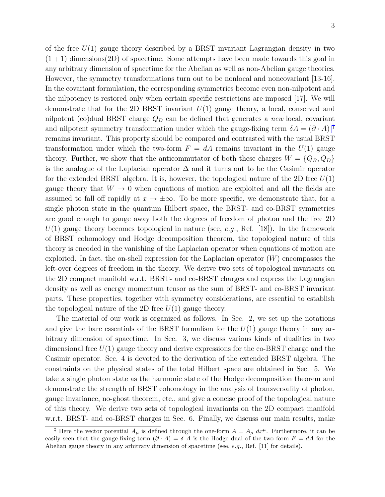of the free  $U(1)$  gauge theory described by a BRST invariant Lagrangian density in two  $(1 + 1)$  dimensions (2D) of spacetime. Some attempts have been made towards this goal in any arbitrary dimension of spacetime for the Abelian as well as non-Abelian gauge theories. However, the symmetry transformations turn out to be nonlocal and noncovariant [13-16]. In the covariant formulation, the corresponding symmetries become even non-nilpotent and the nilpotency is restored only when certain specific restrictions are imposed [17]. We will demonstrate that for the 2D BRST invariant  $U(1)$  gauge theory, a local, conserved and nilpotent (co)dual BRST charge  $Q_D$  can be defined that generates a *new* local, covariant and nilpotent symmetry transformation under which the gauge-fixing term  $\delta A = (\partial \cdot A)^{\dagger}$ remains invariant. This property should be compared and contrasted with the usual BRST transformation under which the two-form  $F = dA$  remains invariant in the  $U(1)$  gauge theory. Further, we show that the anticommutator of both these charges  $W = \{Q_B, Q_D\}$ is the analogue of the Laplacian operator  $\Delta$  and it turns out to be the Casimir operator for the extended BRST algebra. It is, however, the topological nature of the 2D free  $U(1)$ gauge theory that  $W \to 0$  when equations of motion are exploited and all the fields are assumed to fall off rapidly at  $x \to \pm \infty$ . To be more specific, we demonstrate that, for a single photon state in the quantum Hilbert space, the BRST- and co-BRST symmetries are good enough to gauge away both the degrees of freedom of photon and the free 2D  $U(1)$  gauge theory becomes topological in nature (see, e.g., Ref. [18]). In the framework of BRST cohomology and Hodge decomposition theorem, the topological nature of this theory is encoded in the vanishing of the Laplacian operator when equations of motion are exploited. In fact, the on-shell expression for the Laplacian operator  $(W)$  encompasses the left-over degrees of freedom in the theory. We derive two sets of topological invariants on the 2D compact manifold w.r.t. BRST- and co-BRST charges and express the Lagrangian density as well as energy momentum tensor as the sum of BRST- and co-BRST invariant parts. These properties, together with symmetry considerations, are essential to establish the topological nature of the 2D free  $U(1)$  gauge theory.

The material of our work is organized as follows. In Sec. 2, we set up the notations and give the bare essentials of the BRST formalism for the  $U(1)$  gauge theory in any arbitrary dimension of spacetime. In Sec. 3, we discuss various kinds of dualities in two dimensional free  $U(1)$  gauge theory and derive expressions for the co-BRST charge and the Casimir operator. Sec. 4 is devoted to the derivation of the extended BRST algebra. The constraints on the physical states of the total Hilbert space are obtained in Sec. 5. We take a single photon state as the harmonic state of the Hodge decomposition theorem and demonstrate the strength of BRST cohomology in the analysis of transversality of photon, gauge invariance, no-ghost theorem, etc., and give a concise proof of the topological nature of this theory. We derive two sets of topological invariants on the 2D compact manifold w.r.t. BRST- and co-BRST charges in Sec. 6. Finally, we discuss our main results, make

<sup>&</sup>lt;sup>‡</sup> Here the vector potential  $A_\mu$  is defined through the one-form  $A = A_\mu dx^\mu$ . Furthermore, it can be easily seen that the gauge-fixing term  $(\partial \cdot A) = \delta A$  is the Hodge dual of the two form  $F = dA$  for the Abelian gauge theory in any arbitrary dimension of spacetime (see, e.g., Ref. [11] for details).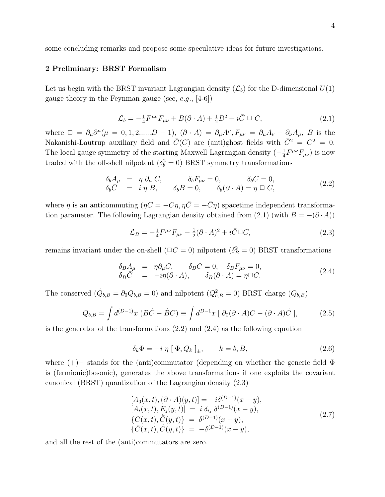some concluding remarks and propose some speculative ideas for future investigations.

# 2 Preliminary: BRST Formalism

Let us begin with the BRST invariant Lagrangian density  $(\mathcal{L}_b)$  for the D-dimensional  $U(1)$ gauge theory in the Feynman gauge (see,  $e.g., [4-6]$ )

$$
\mathcal{L}_b = -\frac{1}{4} F^{\mu\nu} F_{\mu\nu} + B(\partial \cdot A) + \frac{1}{2} B^2 + i \bar{C} \square C, \qquad (2.1)
$$

where  $\Box = \partial_\mu \partial^\mu (\mu = 0, 1, 2, \dots, D-1),$   $(\partial \cdot A) = \partial_\mu A^\mu, F_{\mu\nu} = \partial_\mu A_\nu - \partial_\nu A_\mu, B$  is the Nakanishi-Lautrup auxiliary field and  $\bar{C}(C)$  are (anti)ghost fields with  $\bar{C}^2 = C^2 = 0$ . The local gauge symmetry of the starting Maxwell Lagrangian density  $\left(-\frac{1}{4}\right)$  $\frac{1}{4}F^{\mu\nu}F_{\mu\nu})$  is now traded with the off-shell nilpotent  $(\delta_b^2 = 0)$  BRST symmetry transformations

$$
\begin{array}{rcl}\n\delta_b A_\mu & = & \eta \; \partial_\mu \; C, \\
\delta_b \bar{C} & = & i \; \eta \; B, \\
\delta_b \bar{C} & = & i \; \eta \; B, \\
\end{array}\n\quad\n\begin{array}{rcl}\n\delta_b F_{\mu\nu} = 0, & \delta_b C = 0, \\
\delta_b (\partial \cdot A) = \eta \; \Box \; C,\n\end{array}\n\tag{2.2}
$$

where  $\eta$  is an anticommuting  $(\eta C = -C\eta, \eta \bar{C} = -\bar{C}\eta)$  spacetime independent transformation parameter. The following Lagrangian density obtained from (2.1) (with  $B = -(\partial \cdot A)$ )

$$
\mathcal{L}_B = -\frac{1}{4} F^{\mu\nu} F_{\mu\nu} - \frac{1}{2} (\partial \cdot A)^2 + i \overline{C} \square C, \qquad (2.3)
$$

remains invariant under the on-shell ( $\Box C = 0$ ) nilpotent ( $\delta_B^2 = 0$ ) BRST transformations

$$
\begin{array}{rcl}\n\delta_B A_\mu & = & \eta \partial_\mu C, \qquad \delta_B C = 0, \quad \delta_B F_{\mu\nu} = 0, \\
\delta_B \bar{C} & = & -i\eta(\partial \cdot A), \qquad \delta_B(\partial \cdot A) = \eta \Box C.\n\end{array} \tag{2.4}
$$

The conserved  $(\dot{Q}_{b,B} = \partial_0 Q_{b,B} = 0)$  and nilpotent  $(Q_{b,B}^2 = 0)$  BRST charge  $(Q_{b,B})$ 

$$
Q_{b,B} = \int d^{(D-1)}x \ (B\dot{C} - \dot{B}C) \equiv \int d^{D-1}x \ [\ \partial_0(\partial \cdot A)C - (\partial \cdot A)\dot{C} \ ], \tag{2.5}
$$

is the generator of the transformations (2.2) and (2.4) as the following equation

$$
\delta_k \Phi = -i \eta \left[ \Phi, Q_k \right]_{\pm}, \qquad k = b, B,\tag{2.6}
$$

where (+)− stands for the (anti)commutator (depending on whether the generic field Φ is (fermionic)bosonic), generates the above transformations if one exploits the covariant canonical (BRST) quantization of the Lagrangian density (2.3)

$$
[A_0(x, t), (\partial \cdot A)(y, t)] = -i\delta^{(D-1)}(x - y), [A_i(x, t), E_j(y, t)] = i \delta_{ij} \delta^{(D-1)}(x - y), {C(x, t), \dot{C}(y, t)} = \delta^{(D-1)}(x - y), {\bar{C}(x, t), \dot{C}(y, t)} = -\delta^{(D-1)}(x - y),
$$
\n(2.7)

and all the rest of the (anti)commutators are zero.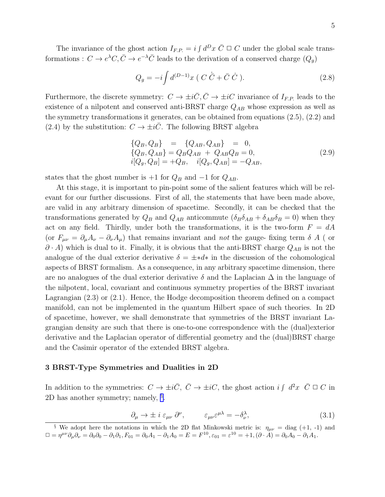The invariance of the ghost action  $I_{F.P.} = i \int d^D x \bar{C} \Box C$  under the global scale transformations :  $C \to e^{\lambda}C, \bar{C} \to e^{-\lambda}\bar{C}$  leads to the derivation of a conserved charge  $(Q_g)$ 

$$
Q_g = -i \int d^{(D-1)}x \left( C \dot{\bar{C}} + \bar{C} \dot{C} \right).
$$
 (2.8)

Furthermore, the discrete symmetry:  $C \to \pm i\bar{C}, \bar{C} \to \pm iC$  invariance of  $I_{F.P.}$  leads to the existence of a nilpotent and conserved anti-BRST charge  $Q_{AB}$  whose expression as well as the symmetry transformations it generates, can be obtained from equations (2.5), (2.2) and (2.4) by the substitution:  $C \rightarrow \pm i\overline{C}$ . The following BRST algebra

$$
\begin{array}{rcl}\n\{Q_B, Q_B\} & = & \{Q_{AB}, Q_{AB}\} & = & 0, \\
\{Q_B, Q_{AB}\} & = & Q_B Q_{AB} + Q_{AB} Q_B = 0, \\
i[Q_g, Q_B] & = & +Q_B, \quad i[Q_g, Q_{AB}] = -Q_{AB},\n\end{array} \tag{2.9}
$$

states that the ghost number is  $+1$  for  $Q_B$  and  $-1$  for  $Q_{AB}$ .

At this stage, it is important to pin-point some of the salient features which will be relevant for our further discussions. First of all, the statements that have been made above, are valid in any arbitrary dimension of spacetime. Secondly, it can be checked that the transformations generated by  $Q_B$  and  $Q_{AB}$  anticommute  $(\delta_B \delta_{AB} + \delta_{AB} \delta_B = 0)$  when they act on any field. Thirdly, under both the transformations, it is the two-form  $F = dA$ (or  $F_{\mu\nu} = \partial_{\mu}A_{\nu} - \partial_{\nu}A_{\mu}$ ) that remains invariant and *not* the gauge- fixing term  $\delta A$  ( or  $\partial \cdot A$ ) which is dual to it. Finally, it is obvious that the anti-BRST charge  $Q_{AB}$  is not the analogue of the dual exterior derivative  $\delta = \pm *d*$  in the discussion of the cohomological aspects of BRST formalism. As a consequence, in any arbitrary spacetime dimension, there are no analogues of the dual exterior derivative  $\delta$  and the Laplacian  $\Delta$  in the language of the nilpotent, local, covariant and continuous symmetry properties of the BRST invariant Lagrangian (2.3) or (2.1). Hence, the Hodge decomposition theorem defined on a compact manifold, can not be implemented in the quantum Hilbert space of such theories. In 2D of spacetime, however, we shall demonstrate that symmetries of the BRST invariant Lagrangian density are such that there is one-to-one correspondence with the (dual)exterior derivative and the Laplacian operator of differential geometry and the (dual)BRST charge and the Casimir operator of the extended BRST algebra.

#### 3 BRST-Type Symmetries and Dualities in 2D

In addition to the symmetries:  $C \to \pm i\bar{C}$ ,  $\bar{C} \to \pm iC$ , the ghost action  $i \int d^2x \ \bar{C} \Box C$  in 2D has another symmetry; namely, § .

$$
\partial_{\mu} \to \pm i \; \varepsilon_{\mu\nu} \; \partial^{\nu}, \qquad \varepsilon_{\mu\nu} \varepsilon^{\mu\lambda} = -\delta^{\lambda}_{\nu}, \tag{3.1}
$$

<sup>&</sup>lt;sup>§</sup> We adopt here the notations in which the 2D flat Minkowski metric is:  $\eta_{\mu\nu} = \text{diag}(+1, -1)$  and  $\Box = \eta^{\mu\nu}\partial_{\mu}\partial_{\nu} = \partial_0\partial_0 - \partial_1\partial_1, F_{01} = \partial_0A_1 - \partial_1A_0 = E = F^{10}, \varepsilon_{01} = \varepsilon^{10} = +1, (\partial \cdot \overline{A}) = \partial_0A_0 - \partial_1A_1.$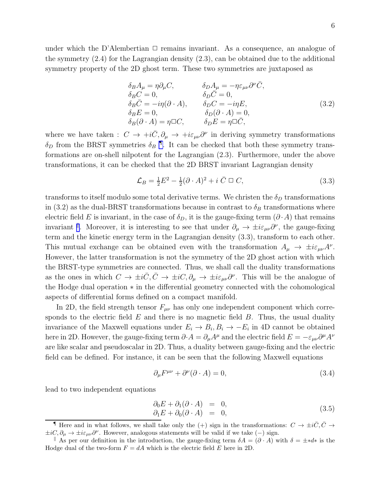under which the D'Alembertian  $\Box$  remains invariant. As a consequence, an analogue of the symmetry (2.4) for the Lagrangian density (2.3), can be obtained due to the additional symmetry property of the 2D ghost term. These two symmetries are juxtaposed as

$$
\delta_B A_\mu = \eta \partial_\mu C, \qquad \delta_D A_\mu = -\eta \varepsilon_{\mu\nu} \partial^\nu \bar{C}, \n\delta_B C = 0, \qquad \delta_D \bar{C} = 0, \n\delta_B \bar{C} = -i\eta (\partial \cdot A), \qquad \delta_D C = -i\eta E, \n\delta_B E = 0, \qquad \delta_D (\partial \cdot A) = 0, \n\delta_B (\partial \cdot A) = \eta \Box C, \qquad \delta_D E = \eta \Box \bar{C},
$$
\n(3.2)

where we have taken :  $C \to +i\bar{C}, \partial_\mu \to +i\varepsilon_{\mu\nu}\partial^\nu$  in deriving symmetry transformations  $\delta_D$  from the BRST symmetries  $\delta_B$ <sup>¶</sup>. It can be checked that both these symmetry transformations are on-shell nilpotent for the Lagrangian (2.3). Furthermore, under the above transformations, it can be checked that the 2D BRST invariant Lagrangian density

$$
\mathcal{L}_B = \frac{1}{2}E^2 - \frac{1}{2}(\partial \cdot A)^2 + i \bar{C} \square C, \qquad (3.3)
$$

transforms to itself modulo some total derivative terms. We christen the  $\delta_D$  transformations in (3.2) as the dual-BRST transformations because in contrast to  $\delta_B$  transformations where electric field E is invariant, in the case of  $\delta_D$ , it is the gauge-fixing term  $(\partial \cdot A)$  that remains invariant <sup>||</sup>. Moreover, it is interesting to see that under  $\partial_{\mu} \to \pm i \varepsilon_{\mu\nu} \partial^{\nu}$ , the gauge-fixing term and the kinetic energy term in the Lagrangian density (3.3), transform to each other. This mutual exchange can be obtained even with the transformation  $A_{\mu} \to \pm i \varepsilon_{\mu\nu} A^{\nu}$ . However, the latter transformation is not the symmetry of the 2D ghost action with which the BRST-type symmetries are connected. Thus, we shall call the duality transformations as the ones in which  $C \to \pm i\bar{C}, \bar{C} \to \pm iC, \partial_{\mu} \to \pm i\varepsilon_{\mu\nu}\partial^{\nu}$ . This will be the analogue of the Hodge dual operation ∗ in the differential geometry connected with the cohomological aspects of differential forms defined on a compact manifold.

In 2D, the field strength tensor  $F_{\mu\nu}$  has only one independent component which corresponds to the electric field  $E$  and there is no magnetic field  $B$ . Thus, the usual duality invariance of the Maxwell equations under  $E_i \to B_i, B_i \to -E_i$  in 4D cannot be obtained here in 2D. However, the gauge-fixing term  $\partial \cdot A = \partial_\mu A^\mu$  and the electric field  $E = -\varepsilon_{\mu\nu}\partial^\mu A^\nu$ are like scalar and pseudoscalar in 2D. Thus, a duality between gauge-fixing and the electric field can be defined. For instance, it can be seen that the following Maxwell equations

$$
\partial_{\mu}F^{\mu\nu} + \partial^{\nu}(\partial \cdot A) = 0,\tag{3.4}
$$

lead to two independent equations

$$
\begin{array}{rcl}\n\partial_0 E + \partial_1 (\partial \cdot A) & = & 0, \\
\partial_1 E + \partial_0 (\partial \cdot A) & = & 0,\n\end{array} \tag{3.5}
$$

**T** Here and in what follows, we shall take only the (+) sign in the transformations:  $C \rightarrow \pm i\overline{C}, \overline{C} \rightarrow$  $\pm iC$ ,  $\partial_{\mu} \rightarrow \pm i\varepsilon_{\mu\nu}\partial^{\nu}$ . However, analogous statements will be valid if we take (-) sign.

<sup>&</sup>lt;sup>k</sup> As per our definition in the introduction, the gauge-fixing term  $\delta A = (\partial \cdot A)$  with  $\delta = \pm *d*$  is the Hodge dual of the two-form  $F = dA$  which is the electric field E here in 2D.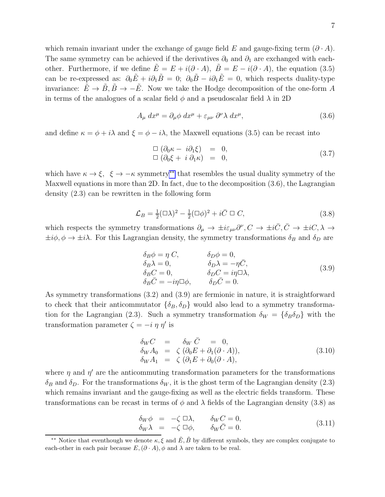which remain invariant under the exchange of gauge field E and gauge-fixing term  $(\partial \cdot A)$ . The same symmetry can be achieved if the derivatives  $\partial_0$  and  $\partial_1$  are exchanged with eachother. Furthermore, if we define  $E = E + i(\partial \cdot A)$ ,  $\ddot{B} = E - i(\partial \cdot A)$ , the equation (3.5) can be re-expressed as:  $\partial_0 \tilde{E} + i \partial_1 \tilde{B} = 0$ ;  $\partial_0 \tilde{B} - i \partial_1 \tilde{E} = 0$ , which respects duality-type invariance:  $\tilde{E} \to \tilde{B}, \tilde{B} \to -\tilde{E}$ . Now we take the Hodge decomposition of the one-form A in terms of the analogues of a scalar field  $\phi$  and a pseudoscalar field  $\lambda$  in 2D

$$
A_{\mu} dx^{\mu} = \partial_{\mu} \phi \, dx^{\mu} + \varepsilon_{\mu\nu} \, \partial^{\nu} \lambda \, dx^{\mu}, \tag{3.6}
$$

and define  $\kappa = \phi + i\lambda$  and  $\xi = \phi - i\lambda$ , the Maxwell equations (3.5) can be recast into

$$
\Box \left( \partial_0 \kappa - i \partial_1 \xi \right) = 0, \n\Box \left( \partial_0 \xi + i \partial_1 \kappa \right) = 0,
$$
\n(3.7)

which have  $\kappa \to \xi$ ,  $\xi \to -\kappa$  symmetry\*\* that resembles the usual duality symmetry of the Maxwell equations in more than 2D. In fact, due to the decomposition (3.6), the Lagrangian density (2.3) can be rewritten in the following form

$$
\mathcal{L}_B = \frac{1}{2} (\square \lambda)^2 - \frac{1}{2} (\square \phi)^2 + i \bar{C} \square C, \qquad (3.8)
$$

which respects the symmetry transformations  $\partial_{\mu} \to \pm i \varepsilon_{\mu\nu} \partial^{\nu}$ ,  $C \to \pm i \overline{C}$ ,  $\overline{C} \to \pm i C$ ,  $\overline{\lambda} \to \overline{\lambda}$  $\pm i\phi, \phi \rightarrow \pm i\lambda$ . For this Lagrangian density, the symmetry transformations  $\delta_B$  and  $\delta_D$  are

$$
\delta_B \phi = \eta C, \qquad \delta_D \phi = 0, \n\delta_B \lambda = 0, \qquad \delta_D \lambda = -\eta \bar{C}, \n\delta_B C = 0, \qquad \delta_D C = i\eta \Box \lambda, \n\delta_B \bar{C} = -i\eta \Box \phi, \qquad \delta_D \bar{C} = 0.
$$
\n(3.9)

As symmetry transformations (3.2) and (3.9) are fermionic in nature, it is straightforward to check that their anticommutator  $\{\delta_B, \delta_D\}$  would also lead to a symmetry transformation for the Lagrangian (2.3). Such a symmetry transformation  $\delta_W = {\delta_B \delta_D}$  with the transformation parameter  $\zeta = -i \eta \eta'$  is

$$
\begin{array}{rcl}\n\delta_W C & = & \delta_W \bar{C} = 0, \\
\delta_W A_0 & = & \zeta \left( \partial_0 E + \partial_1 (\partial \cdot A) \right), \\
\delta_W A_1 & = & \zeta \left( \partial_1 E + \partial_0 (\partial \cdot A) \right),\n\end{array} \tag{3.10}
$$

where  $\eta$  and  $\eta'$  are the anticommuting transformation parameters for the transformations  $\delta_B$  and  $\delta_D$ . For the transformations  $\delta_W$ , it is the ghost term of the Lagrangian density (2.3) which remains invariant and the gauge-fixing as well as the electric fields transform. These transformations can be recast in terms of  $\phi$  and  $\lambda$  fields of the Lagrangian density (3.8) as

$$
\begin{array}{rcl}\n\delta_W \phi & = & -\zeta \Box \lambda, & \delta_W C = 0, \\
\delta_W \lambda & = & -\zeta \Box \phi, & \delta_W \bar{C} = 0.\n\end{array} \tag{3.11}
$$

<sup>&</sup>lt;sup>\*\*</sup> Notice that eventhough we denote  $\kappa$ ,  $\xi$  and  $\tilde{E}$ ,  $\tilde{B}$  by different symbols, they are complex conjugate to each-other in each pair because  $E, (\partial \cdot A), \phi$  and  $\lambda$  are taken to be real.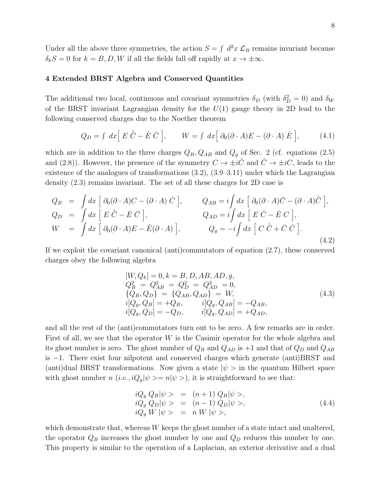Under all the above three symmetries, the action  $S = \int d^2x \mathcal{L}_B$  remains invariant because  $\delta_k S = 0$  for  $k = B, D, W$  if all the fields fall off rapidly at  $x \to \pm \infty$ .

# 4 Extended BRST Algebra and Conserved Quantities

The additional two local, continuous and covariant symmetries  $\delta_D$  (with  $\delta_D^2 = 0$ ) and  $\delta_W$ of the BRST invariant Lagrangian density for the  $U(1)$  gauge theory in 2D lead to the following conserved charges due to the Noether theorem

$$
Q_D = \int dx \Big[ E \dot{\overline{C}} - \dot{E} \, \overline{C} \Big], \qquad W = \int dx \Big[ \partial_0 (\partial \cdot A) E - (\partial \cdot A) \, \dot{E} \Big], \tag{4.1}
$$

which are in addition to the three charges  $Q_B$ ,  $Q_{AB}$  and  $Q_g$  of Sec. 2 (cf. equations (2.5) and (2.8)). However, the presence of the symmetry  $C \to \pm i\bar{C}$  and  $\bar{C} \to \pm iC$ , leads to the existence of the analogues of transformations (3.2), (3.9–3.11) under which the Lagrangian density (2.3) remains invariant. The set of all these charges for 2D case is

$$
Q_B = \int dx \left[ \partial_0 (\partial \cdot A) C - (\partial \cdot A) \dot{C} \right], \qquad Q_{AB} = i \int dx \left[ \partial_0 (\partial \cdot A) \bar{C} - (\partial \cdot A) \dot{\bar{C}} \right],
$$
  
\n
$$
Q_D = \int dx \left[ E \dot{\bar{C}} - \dot{E} \bar{C} \right], \qquad Q_{AD} = i \int dx \left[ E \dot{C} - \dot{E} C \right],
$$
  
\n
$$
W = \int dx \left[ \partial_0 (\partial \cdot A) E - \dot{E} (\partial \cdot A) \right], \qquad Q_g = -i \int dx \left[ C \dot{\bar{C}} + \bar{C} \dot{C} \right].
$$
  
\n(4.2)

If we exploit the covariant canonical (anti)commutators of equation (2.7), these conserved charges obey the following algebra

$$
[W, Q_k] = 0, k = B, D, AB, AD, g,\nQ_B^2 = Q_{AB}^2 = Q_D^2 = Q_{AD}^2 = 0,\n{Q_B, Q_D} = {Q_{AB}, Q_{AD}} = W,\ni[Q_g, Q_B] = +Q_B, \t i[Q_g, Q_{AB}] = -Q_{AB},\ni[Q_g, Q_D] = -Q_D, \t i[Q_g, Q_{AD}] = +Q_{AD},
$$
\n(4.3)

and all the rest of the (anti)commutators turn out to be zero. A few remarks are in order. First of all, we see that the operator W is the Casimir operator for the whole algebra and its ghost number is zero. The ghost number of  $Q_B$  and  $Q_{AD}$  is  $+1$  and that of  $Q_D$  and  $Q_{AB}$ is −1. There exist four nilpotent and conserved charges which generate (anti)BRST and (anti)dual BRST transformations. Now given a state  $|\psi\rangle$  in the quantum Hilbert space with ghost number n  $(i.e., iQ<sub>g</sub>| \psi \rangle = n|\psi \rangle$ , it is straightforward to see that:

$$
iQ_g Q_B |\psi\rangle = (n+1) Q_B |\psi\rangle,
$$
  
\n
$$
iQ_g Q_D |\psi\rangle = (n-1) Q_D |\psi\rangle,
$$
  
\n
$$
iQ_g W |\psi\rangle = n W |\psi\rangle,
$$
\n(4.4)

which demonstrate that, whereas W keeps the ghost number of a state intact and unaltered, the operator  $Q_B$  increases the ghost number by one and  $Q_D$  reduces this number by one. This property is similar to the operation of a Laplacian, an exterior derivative and a dual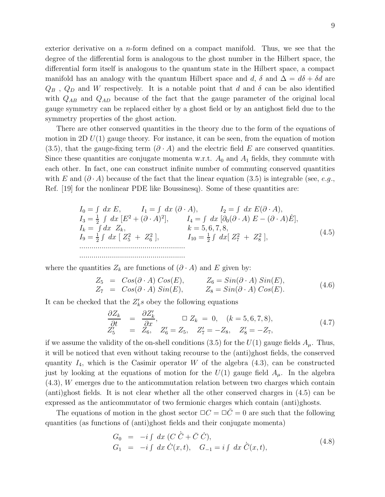exterior derivative on a n-form defined on a compact manifold. Thus, we see that the degree of the differential form is analogous to the ghost number in the Hilbert space, the differential form itself is analogous to the quantum state in the Hilbert space, a compact manifold has an analogy with the quantum Hilbert space and d,  $\delta$  and  $\Delta = d\delta + \delta d$  are  $Q_B$ ,  $Q_D$  and W respectively. It is a notable point that d and  $\delta$  can be also identified with  $Q_{AB}$  and  $Q_{AD}$  because of the fact that the gauge parameter of the original local gauge symmetry can be replaced either by a ghost field or by an antighost field due to the symmetry properties of the ghost action.

There are other conserved quantities in the theory due to the form of the equations of motion in 2D  $U(1)$  gauge theory. For instance, it can be seen, from the equation of motion (3.5), that the gauge-fixing term  $(\partial \cdot A)$  and the electric field E are conserved quantities. Since these quantities are conjugate momenta w.r.t.  $A_0$  and  $A_1$  fields, they commute with each other. In fact, one can construct infinite number of commuting conserved quantities with E and  $(\partial \cdot A)$  because of the fact that the linear equation (3.5) is integrable (see, e.g., Ref. [19] for the nonlinear PDE like Boussinesq). Some of these quantities are:

$$
I_0 = \int dx E, \qquad I_1 = \int dx (\partial \cdot A), \qquad I_2 = \int dx E(\partial \cdot A), I_3 = \frac{1}{2} \int dx [E^2 + (\partial \cdot A)^2], \qquad I_4 = \int dx [\partial_0 (\partial \cdot A) E - (\partial \cdot A) \dot{E}], I_k = \int dx Z_k, \qquad k = 5, 6, 7, 8, I_9 = \frac{1}{2} \int dx [Z_5^2 + Z_6^2], \qquad I_{10} = \frac{1}{2} \int dx [Z_7^2 + Z_8^2],
$$
\n
$$
\dots
$$
\n
$$
\dots
$$
\n(4.5)

where the quantities  $Z_k$  are functions of  $(\partial \cdot A)$  and E given by:

$$
Z_5 = Cos(\partial \cdot A) Cos(E), \t Z_6 = Sin(\partial \cdot A) Sin(E), Z_7 = Cos(\partial \cdot A) Sin(E), \t Z_8 = Sin(\partial \cdot A) Cos(E).
$$
 (4.6)

It can be checked that the  $Z'_k s$  obey the following equations

$$
\begin{array}{rcl}\n\frac{\partial Z_k}{\partial t} & = & \frac{\partial Z'_k}{\partial x}, \qquad \Box Z_k = 0, \quad (k = 5, 6, 7, 8), \\
Z'_5 & = & Z_6, \quad Z'_6 = Z_5, \quad Z'_7 = -Z_8, \quad Z'_8 = -Z_7,\n\end{array} \tag{4.7}
$$

if we assume the validity of the on-shell conditions (3.5) for the  $U(1)$  gauge fields  $A_{\mu}$ . Thus, it will be noticed that even without taking recourse to the (anti)ghost fields, the conserved quantity  $I_4$ , which is the Casimir operator W of the algebra  $(4.3)$ , can be constructed just by looking at the equations of motion for the  $U(1)$  gauge field  $A_\mu$ . In the algebra (4.3), W emerges due to the anticommutation relation between two charges which contain (anti)ghost fields. It is not clear whether all the other conserved charges in (4.5) can be expressed as the anticommutator of two fermionic charges which contain (anti)ghosts.

The equations of motion in the ghost sector  $\Box C = \Box \overline{C} = 0$  are such that the following quantities (as functions of (anti)ghost fields and their conjugate momenta)

$$
G_0 = -i \int dx \ (C \ \dot{\bar{C}} + \bar{C} \ \dot{C}), G_1 = -i \int dx \ \dot{C}(x, t), \quad G_{-1} = i \int dx \ \dot{\bar{C}}(x, t),
$$
\n(4.8)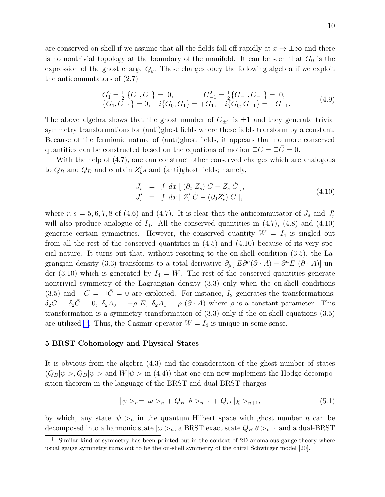are conserved on-shell if we assume that all the fields fall off rapidly at  $x \to \pm \infty$  and there is no nontrivial topology at the boundary of the manifold. It can be seen that  $G_0$  is the expression of the ghost charge  $Q_g$ . These charges obey the following algebra if we exploit the anticommutators of (2.7)

$$
G_1^2 = \frac{1}{2} \{ G_1, G_1 \} = 0, \qquad G_{-1}^2 = \frac{1}{2} \{ G_{-1}, G_{-1} \} = 0, \n\{ G_1, G_{-1} \} = 0, \quad i \{ G_0, G_1 \} = +G_1, \quad i \{ G_0, G_{-1} \} = -G_{-1}.
$$
\n(4.9)

The above algebra shows that the ghost number of  $G_{\pm 1}$  is  $\pm 1$  and they generate trivial symmetry transformations for (anti)ghost fields where these fields transform by a constant. Because of the fermionic nature of (anti)ghost fields, it appears that no more conserved quantities can be constructed based on the equations of motion  $\Box C = \Box \bar{C} = 0$ .

With the help of (4.7), one can construct other conserved charges which are analogous to  $Q_B$  and  $Q_D$  and contain  $Z'_k s$  and (anti)ghost fields; namely,

$$
J_s = \int dx \left[ (\partial_0 Z_s) C - Z_s \dot{C} \right],
$$
  
\n
$$
J'_r = \int dx \left[ Z'_r \dot{C} - (\partial_0 Z'_r) \bar{C} \right],
$$
\n(4.10)

where  $r, s = 5, 6, 7, 8$  of (4.6) and (4.7). It is clear that the anticommutator of  $J_s$  and  $J'_r$ will also produce analogue of  $I_4$ . All the conserved quantities in  $(4.7)$ ,  $(4.8)$  and  $(4.10)$ generate certain symmetries. However, the conserved quantity  $W = I_4$  is singled out from all the rest of the conserved quantities in (4.5) and (4.10) because of its very special nature. It turns out that, without resorting to the on-shell condition (3.5), the Lagrangian density (3.3) transforms to a total derivative  $\partial_{\mu} [ E \partial^{\mu} (\partial \cdot A) - \partial^{\mu} E (\partial \cdot A) ]$  under (3.10) which is generated by  $I_4 = W$ . The rest of the conserved quantities generate nontrivial symmetry of the Lagrangian density (3.3) only when the on-shell conditions (3.5) and  $\Box C = \Box \overline{C} = 0$  are exploited. For instance,  $I_2$  generates the transformations:  $\delta_2C = \delta_2\bar{C} = 0$ ,  $\delta_2A_0 = -\rho E$ ,  $\delta_2A_1 = \rho(\partial \cdot A)$  where  $\rho$  is a constant parameter. This transformation is a symmetry transformation of (3.3) only if the on-shell equations (3.5) are utilized <sup>††</sup>. Thus, the Casimir operator  $W = I_4$  is unique in some sense.

#### 5 BRST Cohomology and Physical States

It is obvious from the algebra (4.3) and the consideration of the ghost number of states  $(Q_B|\psi\rangle, Q_D|\psi\rangle)$  and  $W|\psi\rangle$  in (4.4)) that one can now implement the Hodge decomposition theorem in the language of the BRST and dual-BRST charges

$$
|\psi\rangle_{n} = |\omega\rangle_{n} + Q_{B}|\theta\rangle_{n-1} + Q_{D}|\chi\rangle_{n+1},
$$
\n(5.1)

by which, any state  $|\psi\rangle_n$  in the quantum Hilbert space with ghost number n can be decomposed into a harmonic state  $|\omega>_n$ , a BRST exact state  $Q_B|\theta>_n-1$  and a dual-BRST

<sup>&</sup>lt;sup> $\dagger\dagger$ </sup> Similar kind of symmetry has been pointed out in the context of 2D anomalous gauge theory where usual gauge symmetry turns out to be the on-shell symmetry of the chiral Schwinger model [20].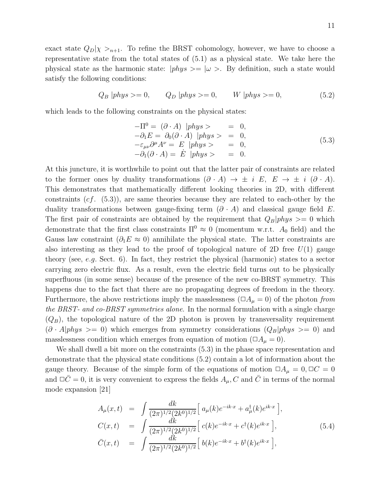exact state  $Q_D|\chi\rangle_{n+1}$ . To refine the BRST cohomology, however, we have to choose a representative state from the total states of (5.1) as a physical state. We take here the physical state as the harmonic state:  $|phys\rangle = |\omega\rangle$ . By definition, such a state would satisfy the following conditions:

$$
Q_B | phys >= 0, \qquad Q_D | phys >= 0, \qquad W | phys >= 0,
$$
\n
$$
(5.2)
$$

which leads to the following constraints on the physical states:

$$
-\Pi^{0} = (\partial \cdot A) \ | phys > = 0,\n-\partial_{1}E = \partial_{0}(\partial \cdot A) \ | phys > = 0,\n-\varepsilon_{\mu\nu}\partial^{\mu}A^{\nu} = E \ |phys > = 0,\n-\partial_{1}(\partial \cdot A) = E \ |phys > = 0.
$$
\n(5.3)

At this juncture, it is worthwhile to point out that the latter pair of constraints are related to the former ones by duality transformations  $(\partial \cdot A) \rightarrow \pm i E$ ,  $E \rightarrow \pm i (\partial \cdot A)$ . This demonstrates that mathematically different looking theories in 2D, with different constraints  $(cf. (5.3))$ , are same theories because they are related to each-other by the duality transformations between gauge-fixing term  $(\partial \cdot A)$  and classical gauge field E. The first pair of constraints are obtained by the requirement that  $Q_B|phys \rangle = 0$  which demonstrate that the first class constraints  $\Pi^0 \approx 0$  (momentum w.r.t.  $A_0$  field) and the Gauss law constraint ( $\partial_1 E \approx 0$ ) annihilate the physical state. The latter constraints are also interesting as they lead to the proof of topological nature of 2D free  $U(1)$  gauge theory (see, e.g. Sect. 6). In fact, they restrict the physical (harmonic) states to a sector carrying zero electric flux. As a result, even the electric field turns out to be physically superfluous (in some sense) because of the presence of the new co-BRST symmetry. This happens due to the fact that there are no propagating degrees of freedom in the theory. Furthermore, the above restrictions imply the masslessness ( $\Box A_\mu = 0$ ) of the photon from the BRST- and co-BRST symmetries alone. In the normal formulation with a single charge  $(Q_B)$ , the topological nature of the 2D photon is proven by transversality requirement  $(\partial \cdot A|phys >= 0)$  which emerges from symmetry considerations  $(Q_B|phys >= 0)$  and masslessness condition which emerges from equation of motion ( $\Box A_\mu = 0$ ).

We shall dwell a bit more on the constraints (5.3) in the phase space representation and demonstrate that the physical state conditions (5.2) contain a lot of information about the gauge theory. Because of the simple form of the equations of motion  $\Box A_{\mu} = 0, \Box C = 0$ and  $\Box \overline{C} = 0$ , it is very convenient to express the fields  $A_{\mu}$ , C and  $\overline{C}$  in terms of the normal mode expansion [21]

$$
A_{\mu}(x,t) = \int \frac{dk}{(2\pi)^{1/2}(2k^{0})^{1/2}} \Big[ a_{\mu}(k)e^{-ik\cdot x} + a_{\mu}^{\dagger}(k)e^{ik\cdot x} \Big],
$$
  
\n
$$
C(x,t) = \int \frac{dk}{(2\pi)^{1/2}(2k^{0})^{1/2}} \Big[ c(k)e^{-ik\cdot x} + c^{\dagger}(k)e^{ik\cdot x} \Big],
$$
  
\n
$$
\bar{C}(x,t) = \int \frac{dk}{(2\pi)^{1/2}(2k^{0})^{1/2}} \Big[ b(k)e^{-ik\cdot x} + b^{\dagger}(k)e^{ik\cdot x} \Big],
$$
\n(5.4)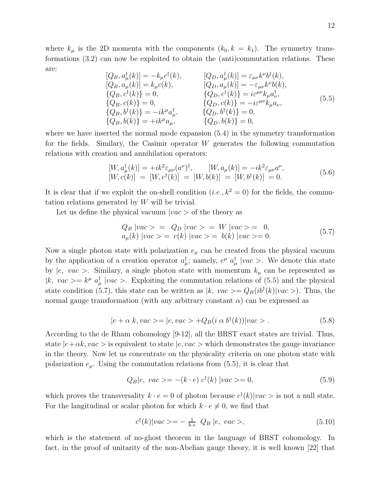where  $k_{\mu}$  is the 2D momenta with the components  $(k_0, k = k_1)$ . The symmetry transformations (3.2) can now be exploited to obtain the (anti)commutation relations. These are:

$$
[Q_B, a^{\dagger}_{\mu}(k)] = -k_{\mu}c^{\dagger}(k), \qquad [Q_D, a^{\dagger}_{\mu}(k)] = \varepsilon_{\mu\nu}k^{\nu}b^{\dagger}(k), [Q_B, a_{\mu}(k)] = k_{\mu}c(k), \qquad [Q_D, a_{\mu}(k)] = -\varepsilon_{\mu\nu}k^{\nu}b(k), {Q_B, c^{\dagger}(k)} = 0, \qquad {Q_D, c^{\dagger}(k)} = i\varepsilon^{\mu\nu}k_{\mu}a^{\dagger}_{\nu}, {Q_B, b^{\dagger}(k)} = 0, \qquad {Q_D, c(k)} = -i\varepsilon^{\mu\nu}k_{\mu}a_{\nu}, {Q_B, b^{\dagger}(k)} = -ik^{\mu}a^{\dagger}_{\mu}, \qquad {Q_D, b^{\dagger}(k)} = 0, {Q_B, b(k)} = +ik^{\mu}a_{\mu}, \qquad {Q_D, b(k)} = 0,
$$
\n
$$
(5.5)
$$

where we have inserted the normal mode expansion (5.4) in the symmetry transformation for the fields. Similary, the Casimir operator W generates the following commutation relations with creation and annihilation operators:

$$
[W, a^{\dagger}_{\mu}(k)] = +ik^2 \varepsilon_{\mu\nu}(a^{\nu})^{\dagger}, \qquad [W, a_{\mu}(k)] = -ik^2 \varepsilon_{\mu\nu} a^{\nu}, [W, c(k)] = [W, c^{\dagger}(k)] = [W, b(k)] = [W, b^{\dagger}(k)] = 0.
$$
 (5.6)

It is clear that if we exploit the on-shell condition  $(i.e., k^2 = 0)$  for the fields, the commutation relations generated by W will be trivial.

Let us define the physical vacuum  $|vac\rangle$  of the theory as

$$
Q_B |vac\rangle = Q_D |vac\rangle = W |vac\rangle = 0,a_{\mu}(k) |vac\rangle = c(k) |vac\rangle = b(k) |vac\rangle = 0.
$$
\n(5.7)

Now a single photon state with polarization  $e_{\mu}$  can be created from the physical vacuum by the application of a creation operator  $a^{\dagger}_{\mu}$ ; namely,  $e^{\mu} a^{\dagger}_{\mu}$  |vac >. We denote this state by  $|e, vac\rangle$ . Similary, a single photon state with momentum  $k_{\mu}$  can be represented as |k, vac  $>= k^{\mu} a^{\dagger}_{\mu}$  |vac  $>=$ . Exploiting the commutation relations of (5.5) and the physical state condition (5.7), this state can be written as  $|k, vac\rangle = Q_B(i b^{\dagger}(k)|vac\rangle)$ . Thus, the normal gauge transformation (with any arbitrary constant  $\alpha$ ) can be expressed as

$$
|e + \alpha k, vac\rangle = |e, vac\rangle + Q_B(i \alpha b^{\dagger}(k))|vac\rangle. \tag{5.8}
$$

According to the de Rham cohomology [9-12], all the BRST exact states are trivial. Thus, state  $|e+\alpha k, vac\rangle$  is equivalent to state  $|e, vac\rangle$  which demonstrates the gauge invariance in the theory. Now let us concentrate on the physicality criteria on one photon state with polarization  $e_{\mu}$ . Using the commutation relations from (5.5), it is clear that

$$
Q_B|e, vac\rangle = -(k \cdot e) c^{\dagger}(k) |vac\rangle = 0,
$$
\n(5.9)

which proves the transversality  $k \cdot e = 0$  of photon because  $c^{\dagger}(k)|vac>$  is not a null state. For the langitudinal or scalar photon for which  $k \cdot e \neq 0$ , we find that

$$
c^{\dagger}(k)|vac\rangle = -\frac{1}{k \cdot e} Q_B |e, vac\rangle, \qquad (5.10)
$$

which is the statement of no-ghost theorem in the language of BRST cohomology. In fact, in the proof of unitarity of the non-Abelian gauge theory, it is well known [22] that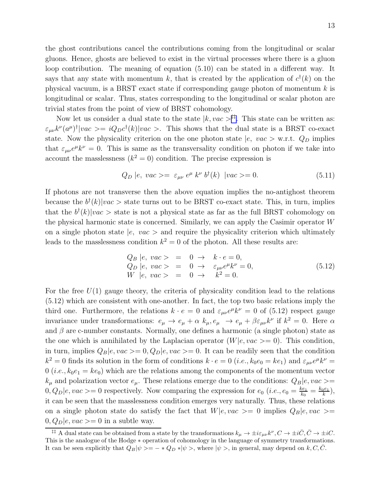the ghost contributions cancel the contributions coming from the longitudinal or scalar gluons. Hence, ghosts are believed to exist in the virtual processes where there is a gluon loop contribution. The meaning of equation (5.10) can be stated in a different way. It says that any state with momentum k, that is created by the application of  $c^{\dagger}(k)$  on the physical vacuum, is a BRST exact state if corresponding gauge photon of momentum  $k$  is longitudinal or scalar. Thus, states corresponding to the longitudinal or scalar photon are trivial states from the point of view of BRST cohomology.

Now let us consider a dual state to the state  $|k, vac\rangle^{ \sharp \sharp}$ . This state can be written as:  $\varepsilon_{\mu\nu}k^{\nu}(a^{\mu})^{\dagger}|vac\rangle = iQ_Dc^{\dagger}(k)|vac\rangle.$  This shows that the dual state is a BRST co-exact state. Now the physicality criterion on the one photon state  $|e, vac\rangle$  w.r.t.  $Q_D$  implies that  $\varepsilon_{\mu\nu}e^{\mu}k^{\nu}=0$ . This is same as the transversality condition on photon if we take into account the masslessness  $(k^2 = 0)$  condition. The precise expression is

$$
Q_D |e, vac\rangle = \varepsilon_{\mu\nu} e^{\mu} k^{\nu} b^{\dagger}(k) |vac\rangle = 0.
$$
 (5.11)

If photons are not transverse then the above equation implies the no-antighost theorem because the  $b^{\dagger}(k)|vac>$  state turns out to be BRST co-exact state. This, in turn, implies that the  $b^{\dagger}(k)|vac\rangle$  state is not a physical state as far as the full BRST cohomology on the physical harmonic state is concerned. Similarly, we can apply the Casimir operator W on a single photon state  $|e, vac\rangle$  and require the physicality criterion which ultimately leads to the masslessness condition  $k^2 = 0$  of the photon. All these results are:

$$
Q_B | e, vac \rangle = 0 \rightarrow k \cdot e = 0,
$$
  
\n
$$
Q_D | e, vac \rangle = 0 \rightarrow \varepsilon_{\mu\nu} e^{\mu} k^{\nu} = 0,
$$
  
\n
$$
W | e, vac \rangle = 0 \rightarrow k^2 = 0.
$$
\n(5.12)

For the free  $U(1)$  gauge theory, the criteria of physicality condition lead to the relations (5.12) which are consistent with one-another. In fact, the top two basic relations imply the third one. Furthermore, the relations  $k \cdot e = 0$  and  $\varepsilon_{\mu\nu} e^{\mu} k^{\nu} = 0$  of (5.12) respect gauge invariance under transformations:  $e_{\mu} \to e_{\mu} + \alpha k_{\mu}, e_{\mu} \to e_{\mu} + \beta \varepsilon_{\mu\nu} k^{\nu}$  if  $k^2 = 0$ . Here  $\alpha$ and  $\beta$  are c-number constants. Normally, one defines a harmonic (a single photon) state as the one which is annihilated by the Laplacian operator  $(W|e, vac >= 0)$ . This condition, in turn, implies  $Q_B|e, vac\rangle = 0, Q_D|e, vac\rangle = 0$ . It can be readily seen that the condition  $k^2 = 0$  finds its solution in the form of conditions  $k \cdot e = 0$  (*i.e.*,  $k_0 e_0 = k e_1$ ) and  $\varepsilon_{\mu\nu} e^{\mu} k^{\nu} =$  $0$  (*i.e.*,  $k_0e_1 = ke_0$ ) which are the relations among the components of the momentum vector  $k_{\mu}$  and polarization vector  $e_{\mu}$ . These relations emerge due to the conditions:  $Q_B|e, vac\rangle =$  $0, Q_D | e, vac \rangle = 0$  respectively. Now comparing the expression for  $e_0$  (*i.e.*,  $e_0 = \frac{k e_1}{k_0}$  $\frac{ke_1}{k_0} = \frac{k_0e_1}{k}$  $\frac{(p e_1}{k}),$ it can be seen that the masslessness condition emerges very naturally. Thus, these relations on a single photon state do satisfy the fact that  $W|e, vac\rangle = 0$  implies  $Q_B|e, vac\rangle =$  $0, Q_D | e, vac \rangle = 0$  in a subtle way.

<sup>&</sup>lt;sup>‡‡</sup> A dual state can be obtained from a state by the transformations  $k_{\mu} \to \pm i \varepsilon_{\mu\nu} k^{\nu}$ ,  $C \to \pm i \bar{C}$ ,  $\bar{C} \to \pm i C$ . This is the analogue of the Hodge ∗ operation of cohomology in the language of symmetry transformations. It can be seen explicitly that  $Q_B|\psi\rangle = -\ast Q_D \ast |\psi\rangle$ , where  $|\psi\rangle$ , in general, may depend on k, C, C.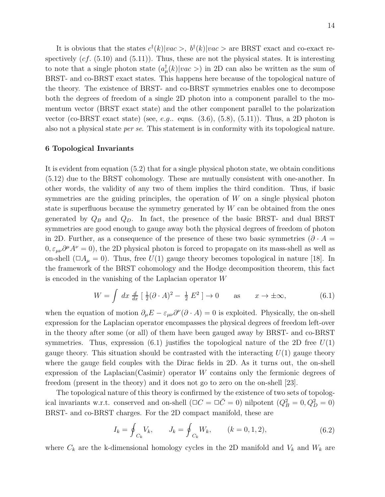It is obvious that the states  $c^{\dagger}(k)|vac\rangle$ ,  $b^{\dagger}(k)|vac\rangle$  are BRST exact and co-exact respectively  $(cf. (5.10)$  and  $(5.11)$ ). Thus, these are not the physical states. It is interesting to note that a single photon state  $(a^{\dagger}_{\mu}(k)|vac\rangle)$  in 2D can also be written as the sum of BRST- and co-BRST exact states. This happens here because of the topological nature of the theory. The existence of BRST- and co-BRST symmetries enables one to decompose both the degrees of freedom of a single 2D photon into a component parallel to the momentum vector (BRST exact state) and the other component parallel to the polarization vector (co-BRST exact state) (see, e.g.. eqns.  $(3.6)$ ,  $(5.8)$ ,  $(5.11)$ ). Thus, a 2D photon is also not a physical state per se. This statement is in conformity with its topological nature.

# 6 Topological Invariants

It is evident from equation (5.2) that for a single physical photon state, we obtain conditions (5.12) due to the BRST cohomology. These are mutually consistent with one-another. In other words, the validity of any two of them implies the third condition. Thus, if basic symmetries are the guiding principles, the operation of W on a single physical photon state is superfluous because the symmetry generated by  $W$  can be obtained from the ones generated by  $Q_B$  and  $Q_D$ . In fact, the presence of the basic BRST- and dual BRST symmetries are good enough to gauge away both the physical degrees of freedom of photon in 2D. Further, as a consequence of the presence of these two basic symmetries  $(\partial \cdot A =$  $(0, \varepsilon_{\mu\nu}\partial^{\mu}A^{\nu} = 0)$ , the 2D physical photon is forced to propagate on its mass-shell as well as on-shell ( $\Box A_\mu = 0$ ). Thus, free  $U(1)$  gauge theory becomes topological in nature [18]. In the framework of the BRST cohomology and the Hodge decomposition theorem, this fact is encoded in the vanishing of the Laplacian operator W

$$
W = \int dx \frac{d}{dx} \left[ \frac{1}{2} (\partial \cdot A)^2 - \frac{1}{2} E^2 \right] \to 0 \quad \text{as} \quad x \to \pm \infty,
$$
 (6.1)

when the equation of motion  $\partial_{\mu}E - \varepsilon_{\mu\nu}\partial^{\nu}(\partial \cdot A) = 0$  is exploited. Physically, the on-shell expression for the Laplacian operator encompasses the physical degrees of freedom left-over in the theory after some (or all) of them have been gauged away by BRST- and co-BRST symmetries. Thus, expression (6.1) justifies the topological nature of the 2D free  $U(1)$ gauge theory. This situation should be contrasted with the interacting  $U(1)$  gauge theory where the gauge field couples with the Dirac fields in 2D. As it turns out, the on-shell expression of the Laplacian(Casimir) operator W contains only the fermionic degrees of freedom (present in the theory) and it does not go to zero on the on-shell [23].

The topological nature of this theory is confirmed by the existence of two sets of topological invariants w.r.t. conserved and on-shell  $(\Box C = \Box \bar{C} = 0)$  nilpotent  $(Q_B^2 = 0, Q_D^2 = 0)$ BRST- and co-BRST charges. For the 2D compact manifold, these are

$$
I_k = \oint_{C_k} V_k, \qquad J_k = \oint_{C_k} W_k, \qquad (k = 0, 1, 2), \tag{6.2}
$$

where  $C_k$  are the k-dimensional homology cycles in the 2D manifold and  $V_k$  and  $W_k$  are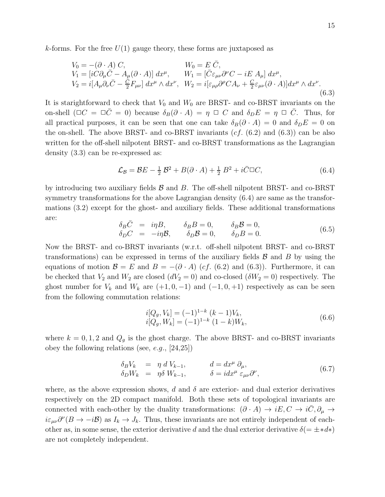k-forms. For the free  $U(1)$  gauge theory, these forms are juxtaposed as

$$
V_0 = -(\partial \cdot A) C,
$$
  
\n
$$
V_1 = [iC\partial_\mu \bar{C} - A_\mu(\partial \cdot A)] dx^\mu,
$$
  
\n
$$
V_2 = i[A_\mu \partial_\nu \bar{C} - \frac{\bar{C}}{2} F_{\mu\nu}] dx^\mu \wedge dx^\nu,
$$
  
\n
$$
W_1 = [\bar{C}\varepsilon_{\mu\nu}\partial^\nu C - iE A_\mu] dx^\mu,
$$
  
\n
$$
W_2 = i[\varepsilon_{\mu\rho}\partial^\rho C A_\nu + \frac{\bar{C}}{2}\varepsilon_{\mu\nu}(\partial \cdot A)] dx^\mu \wedge dx^\nu.
$$
  
\n(6.3)

It is starightforward to check that  $V_0$  and  $W_0$  are BRST- and co-BRST invariants on the on-shell  $(\Box C = \Box \bar{C} = 0)$  because  $\delta_B(\partial \cdot A) = \eta \Box C$  and  $\delta_D E = \eta \Box \bar{C}$ . Thus, for all practical purposes, it can be seen that one can take  $\delta_B(\partial \cdot A) = 0$  and  $\delta_D E = 0$  on the on-shell. The above BRST- and co-BRST invariants  $(cf. (6.2)$  and  $(6.3))$  can be also written for the off-shell nilpotent BRST- and co-BRST transformations as the Lagrangian density (3.3) can be re-expressed as:

$$
\mathcal{L}_{\mathcal{B}} = \mathcal{B}E - \frac{1}{2}\mathcal{B}^2 + B(\partial \cdot A) + \frac{1}{2}B^2 + i\bar{C}\Box C, \tag{6.4}
$$

by introducing two auxiliary fields  $\beta$  and  $B$ . The off-shell nilpotent BRST- and co-BRST symmetry transformations for the above Lagrangian density (6.4) are same as the transformations (3.2) except for the ghost- and auxiliary fields. These additional transformations are:

$$
\delta_B \bar{C} = i\eta B, \qquad \delta_B B = 0, \qquad \delta_B \mathcal{B} = 0, \n\delta_D C = -i\eta \mathcal{B}, \qquad \delta_D \mathcal{B} = 0, \qquad \delta_D B = 0.
$$
\n(6.5)

Now the BRST- and co-BRST invariants (w.r.t. off-shell nilpotent BRST- and co-BRST transformations) can be expressed in terms of the auxiliary fields  $\beta$  and  $\beta$  by using the equations of motion  $\mathcal{B} = E$  and  $B = -(\partial \cdot A)$  (cf. (6.2) and (6.3)). Furthermore, it can be checked that  $V_2$  and  $W_2$  are closed  $(dV_2 = 0)$  and co-closed  $(\delta W_2 = 0)$  respectively. The ghost number for  $V_k$  and  $W_k$  are  $(+1, 0, -1)$  and  $(-1, 0, +1)$  respectively as can be seen from the following commutation relations:

$$
i[Q_g, V_k] = (-1)^{1-k} (k-1)V_k,
$$
  
\n
$$
i[Q_g, W_k] = (-1)^{1-k} (1-k)W_k,
$$
\n(6.6)

where  $k = 0, 1, 2$  and  $Q_g$  is the ghost charge. The above BRST- and co-BRST invariants obey the following relations (see, e.g.,  $[24,25]$ )

δBV<sup>k</sup> = η d Vk−1, d = dx<sup>µ</sup> ∂µ, δDW<sup>k</sup> = ηδ Wk−1, δ = idx<sup>µ</sup> εµν∂ ν , (6.7)

where, as the above expression shows, d and  $\delta$  are exterior- and dual exterior derivatives respectively on the 2D compact manifold. Both these sets of topological invariants are connected with each-other by the duality transformations:  $(\partial \cdot A) \to iE, C \to i\overline{C}, \partial_\mu \to$  $i\varepsilon_{\mu\nu}\partial^{\nu}(B\to -i\mathcal{B})$  as  $I_k\to J_k$ . Thus, these invariants are not entirely independent of eachother as, in some sense, the exterior derivative d and the dual exterior derivative  $\delta(=\pm *d*)$ are not completely independent.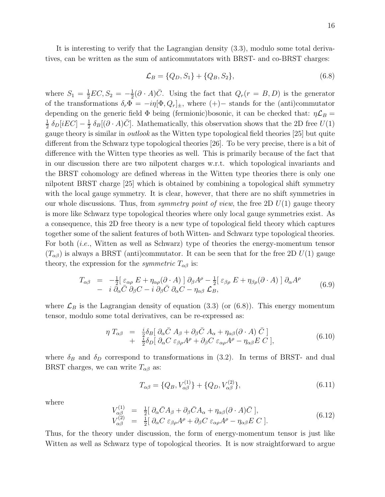It is interesting to verify that the Lagrangian density (3.3), modulo some total derivatives, can be written as the sum of anticommutators with BRST- and co-BRST charges:

$$
\mathcal{L}_B = \{Q_D, S_1\} + \{Q_B, S_2\},\tag{6.8}
$$

where  $S_1 = \frac{1}{2}EC, S_2 = -\frac{1}{2}$  $\frac{1}{2}(\partial \cdot A)\overline{C}$ . Using the fact that  $Q_r(r = B, D)$  is the generator of the transformations  $\delta_r \Phi = -i\eta[\Phi, Q_r]_{\pm}$ , where  $(+)$  stands for the (anti)commutator depending on the generic field  $\Phi$  being (fermionic)bosonic, it can be checked that:  $\eta \mathcal{L}_B =$ 1  $rac{1}{2} \delta_D[iEC] - \frac{1}{2}$  $\frac{1}{2} \delta_B[(\partial \cdot A)\overline{C}]$ . Mathematically, this observation shows that the 2D free  $U(1)$ gauge theory is similar in outlook as the Witten type topological field theories [25] but quite different from the Schwarz type topological theories [26]. To be very precise, there is a bit of difference with the Witten type theories as well. This is primarily because of the fact that in our discussion there are two nilpotent charges w.r.t. which topological invariants and the BRST cohomology are defined whereas in the Witten type theories there is only one nilpotent BRST charge [25] which is obtained by combining a topological shift symmetry with the local gauge symmetry. It is clear, however, that there are no shift symmetries in our whole discussions. Thus, from *symmetry point of view*, the free 2D  $U(1)$  gauge theory is more like Schwarz type topological theories where only local gauge symmetries exist. As a consequence, this 2D free theory is a new type of topological field theory which captures together some of the salient features of both Witten- and Schwarz type topological theories. For both (*i.e.*, Witten as well as Schwarz) type of theories the energy-momentum tensor  $(T_{\alpha\beta})$  is always a BRST (anti)commutator. It can be seen that for the free 2D  $U(1)$  gauge theory, the expression for the *symmetric*  $T_{\alpha\beta}$  is:

$$
T_{\alpha\beta} = -\frac{1}{2} [\varepsilon_{\alpha\rho} E + \eta_{\alpha\rho} (\partial \cdot A)] \partial_{\beta} A^{\rho} - \frac{1}{2} [\varepsilon_{\beta\rho} E + \eta_{\beta\rho} (\partial \cdot A)] \partial_{\alpha} A^{\rho}
$$
  
-  $i \partial_{\alpha} \overline{C} \partial_{\beta} C - i \partial_{\beta} \overline{C} \partial_{\alpha} C - \eta_{\alpha\beta} \mathcal{L}_{B},$  (6.9)

where  $\mathcal{L}_B$  is the Lagrangian density of equation (3.3) (or (6.8)). This energy momentum tensor, modulo some total derivatives, can be re-expressed as:

$$
\eta T_{\alpha\beta} = \frac{i}{2} \delta_B [\partial_\alpha \bar{C} A_\beta + \partial_\beta \bar{C} A_\alpha + \eta_{\alpha\beta} (\partial \cdot A) \bar{C}] \n+ \frac{i}{2} \delta_D [\partial_\alpha C \varepsilon_{\beta\rho} A^\rho + \partial_\beta C \varepsilon_{\alpha\rho} A^\rho - \eta_{\alpha\beta} E C],
$$
\n(6.10)

where  $\delta_B$  and  $\delta_D$  correspond to transformations in (3.2). In terms of BRST- and dual BRST charges, we can write  $T_{\alpha\beta}$  as:

$$
T_{\alpha\beta} = \{Q_B, V_{\alpha\beta}^{(1)}\} + \{Q_D, V_{\alpha\beta}^{(2)}\},\tag{6.11}
$$

where

$$
V_{\alpha\beta}^{(1)} = \frac{1}{2} [\partial_{\alpha}\bar{C}A_{\beta} + \partial_{\beta}\bar{C}A_{\alpha} + \eta_{\alpha\beta}(\partial \cdot A)\bar{C}],
$$
  
\n
$$
V_{\alpha\beta}^{(2)} = \frac{1}{2} [\partial_{\alpha}C \varepsilon_{\beta\rho}A^{\rho} + \partial_{\beta}C \varepsilon_{\alpha\rho}A^{\rho} - \eta_{\alpha\beta}E C].
$$
\n(6.12)

Thus, for the theory under discussion, the form of energy-momentum tensor is just like Witten as well as Schwarz type of topological theories. It is now straightforward to argue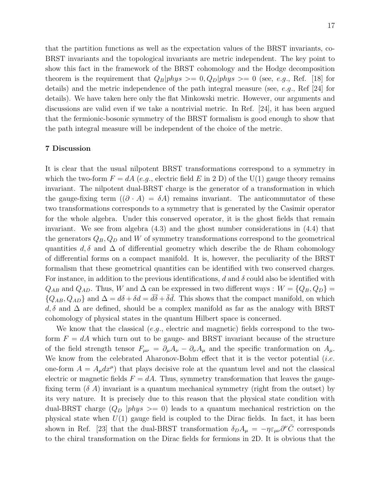that the partition functions as well as the expectation values of the BRST invariants, co-BRST invariants and the topological invariants are metric independent. The key point to show this fact in the framework of the BRST cohomology and the Hodge decomposition theorem is the requirement that  $Q_B|phys\rangle = 0, Q_D|phys\rangle = 0$  (see, e.g., Ref. [18] for details) and the metric independence of the path integral measure (see, e.g., Ref [24] for details). We have taken here only the flat Minkowski metric. However, our arguments and discussions are valid even if we take a nontrivial metric. In Ref. [24], it has been argued that the fermionic-bosonic symmetry of the BRST formalism is good enough to show that the path integral measure will be independent of the choice of the metric.

## 7 Discussion

It is clear that the usual nilpotent BRST transformations correspond to a symmetry in which the two-form  $F = dA$  (e.g., electric field E in 2 D) of the U(1) gauge theory remains invariant. The nilpotent dual-BRST charge is the generator of a transformation in which the gauge-fixing term  $((\partial \cdot A) = \delta A)$  remains invariant. The anticommutator of these two transformations corresponds to a symmetry that is generated by the Casimir operator for the whole algebra. Under this conserved operator, it is the ghost fields that remain invariant. We see from algebra (4.3) and the ghost number considerations in (4.4) that the generators  $Q_B$ ,  $Q_D$  and W of symmetry transformations correspond to the geometrical quantities d,  $\delta$  and  $\Delta$  of differential geometry which describe the de Rham cohomology of differential forms on a compact manifold. It is, however, the peculiarity of the BRST formalism that these geometrical quantities can be identified with two conserved charges. For instance, in addition to the previous identifications, d and  $\delta$  could also be identified with  $Q_{AB}$  and  $Q_{AD}$ . Thus, W and  $\Delta$  can be expressed in two different ways :  $W = \{Q_B, Q_D\}$  $\{Q_{AB}, Q_{AD}\}\$ and  $\Delta = d\delta + \delta d = d\bar{\delta} + \bar{\delta}d$ . This shows that the compact manifold, on which  $d, \delta$  and  $\Delta$  are defined, should be a complex manifold as far as the analogy with BRST cohomology of physical states in the quantum Hilbert space is concerned.

We know that the classical (e.g., electric and magnetic) fields correspond to the twoform  $F = dA$  which turn out to be gauge- and BRST invariant because of the structure of the field strength tensor  $F_{\mu\nu} = \partial_{\mu}A_{\nu} - \partial_{\nu}A_{\mu}$  and the specific tranformation on  $A_{\mu}$ . We know from the celebrated Aharonov-Bohm effect that it is the vector potential *(i.e.* one-form  $A = A_{\mu}dx^{\mu}$  that plays decisive role at the quantum level and not the classical electric or magnetic fields  $F = dA$ . Thus, symmetry transformation that leaves the gaugefixing term  $(\delta A)$  invariant is a quantum mechanical symmetry (right from the outset) by its very nature. It is precisely due to this reason that the physical state condition with dual-BRST charge  $(Q_D |phys \rangle = 0)$  leads to a quantum mechanical restriction on the physical state when  $U(1)$  gauge field is coupled to the Dirac fields. In fact, it has been shown in Ref. [23] that the dual-BRST transformation  $\delta_D A_\mu = -\eta \varepsilon_{\mu\nu} \partial^\nu \bar{C}$  corresponds to the chiral transformation on the Dirac fields for fermions in 2D. It is obvious that the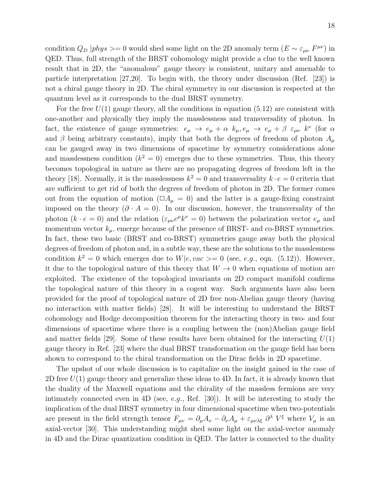condition  $Q_D |phys \rangle = 0$  would shed some light on the 2D anomaly term  $(E \sim \varepsilon_{\mu\nu} F^{\mu\nu})$  in QED. Thus, full strength of the BRST cohomology might provide a clue to the well known result that in 2D, the "anomalous" gauge theory is consistent, unitary and amenable to particle interpretation [27,20]. To begin with, the theory under discussion (Ref. [23]) is not a chiral gauge theory in 2D. The chiral symmetry in our discussion is respected at the quantum level as it corresponds to the dual BRST symmetry.

For the free  $U(1)$  gauge theory, all the conditions in equation (5.12) are consistent with one-another and physically they imply the masslessness and transversality of photon. In fact, the existence of gauge symmetries:  $e_{\mu} \to e_{\mu} + \alpha k_{\mu}, e_{\mu} \to e_{\mu} + \beta \varepsilon_{\mu\nu} k^{\nu}$  (for  $\alpha$ and  $\beta$  being arbitrary constants), imply that both the degrees of freedom of photon  $A_\mu$ can be gauged away in two dimensions of spacetime by symmetry considerations alone and masslessness condition  $(k^2 = 0)$  emerges due to these symmetries. Thus, this theory becomes topological in nature as there are no propagating degrees of freedom left in the theory [18]. Normally, it is the masslessness  $k^2 = 0$  and transversality  $k \cdot e = 0$  criteria that are sufficient to get rid of both the degrees of freedom of photon in 2D. The former comes out from the equation of motion ( $\Box A_\mu = 0$ ) and the latter is a gauge-fixing constraint imposed on the theory  $(\partial \cdot A = 0)$ . In our discussion, however, the transversality of the photon  $(k \cdot e = 0)$  and the relation  $(\varepsilon_{\mu\nu}e^{\mu}k^{\nu} = 0)$  between the polarization vector  $e_{\mu}$  and momentum vector  $k_{\mu}$ , emerge because of the presence of BRST- and co-BRST symmetries. In fact, these two basic (BRST and co-BRST) symmetries gauge away both the physical degrees of freedom of photon and, in a subtle way, these are the solutions to the masslessness condition  $k^2 = 0$  which emerges due to  $W|e, vac \rangle = 0$  (see, e.g., eqn. (5.12)). However, it due to the topological nature of this theory that  $W \to 0$  when equations of motion are exploited. The existence of the topological invariants on 2D compact manifold confirms the topological nature of this theory in a cogent way. Such arguments have also been provided for the proof of topological nature of 2D free non-Abelian gauge theory (having no interaction with matter fields) [28]. It will be interesting to understand the BRST cohomology and Hodge decomposition theorem for the interacting theory in two- and four dimensions of spacetime where there is a coupling between the (non)Abelian gauge field and matter fields [29]. Some of these results have been obtained for the interacting  $U(1)$ gauge theory in Ref. [23] where the dual BRST transformation on the gauge field has been shown to correspond to the chiral transformation on the Dirac fields in 2D spacetime.

The upshot of our whole discussion is to capitalize on the insight gained in the case of 2D free  $U(1)$  gauge theory and generalize these ideas to 4D. In fact, it is already known that the duality of the Maxwell equations and the chirality of the massless fermions are very intimately connected even in 4D (see, e.g., Ref.  $|30|$ ). It will be interesting to study the implication of the dual BRST symmetry in four dimensional spacetime when two-potentials are present in the field strength tensor  $F_{\mu\nu} = \partial_\mu A_\nu - \partial_\nu A_\mu + \varepsilon_{\mu\nu\lambda\xi} \partial^\lambda V^\xi$  where  $V_\mu$  is an axial-vector [30]. This understanding might shed some light on the axial-vector anomaly in 4D and the Dirac quantization condition in QED. The latter is connected to the duality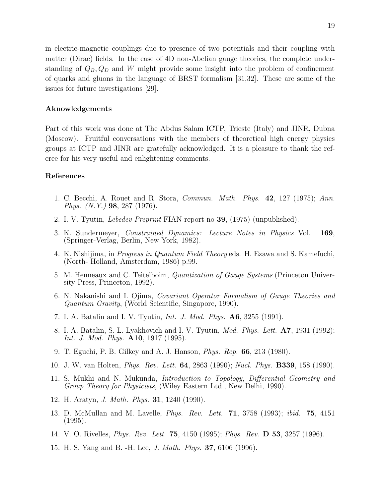in electric-magnetic couplings due to presence of two potentials and their coupling with matter (Dirac) fields. In the case of 4D non-Abelian gauge theories, the complete understanding of  $Q_B, Q_D$  and W might provide some insight into the problem of confinement of quarks and gluons in the language of BRST formalism [31,32]. These are some of the issues for future investigations [29].

## Aknowledgements

Part of this work was done at The Abdus Salam ICTP, Trieste (Italy) and JINR, Dubna (Moscow). Fruitful conversations with the members of theoretical high energy physics groups at ICTP and JINR are gratefully acknowledged. It is a pleasure to thank the referee for his very useful and enlightening comments.

## References

- 1. C. Becchi, A. Rouet and R. Stora, Commun. Math. Phys. 42, 127 (1975); Ann. Phys. (N.Y.) 98, 287 (1976).
- 2. I. V. Tyutin, Lebedev Preprint FIAN report no 39, (1975) (unpublished).
- 3. K. Sundermeyer, Constrained Dynamics: Lecture Notes in Physics Vol. 169, (Springer-Verlag, Berlin, New York, 1982).
- 4. K. Nishijima, in Progress in Quantum Field Theory eds. H. Ezawa and S. Kamefuchi, (North- Holland, Amsterdam, 1986) p.99.
- 5. M. Henneaux and C. Teitelboim, Quantization of Gauge Systems (Princeton University Press, Princeton, 1992).
- 6. N. Nakanishi and I. Ojima, Covariant Operator Formalism of Gauge Theories and Quantum Gravity, (World Scientific, Singapore, 1990).
- 7. I. A. Batalin and I. V. Tyutin, Int. J. Mod. Phys. A6, 3255 (1991).
- 8. I. A. Batalin, S. L. Lyakhovich and I. V. Tyutin, Mod. Phys. Lett. A7, 1931 (1992); Int. J. Mod. Phys. **A10**, 1917 (1995).
- 9. T. Eguchi, P. B. Gilkey and A. J. Hanson, Phys. Rep. 66, 213 (1980).
- 10. J. W. van Holten, Phys. Rev. Lett. 64, 2863 (1990); Nucl. Phys. B339, 158 (1990).
- 11. S. Mukhi and N. Mukunda, Introduction to Topology, Differential Geometry and Group Theory for Physicists, (Wiley Eastern Ltd., New Delhi, 1990).
- 12. H. Aratyn, J. Math. Phys. 31, 1240 (1990).
- 13. D. McMullan and M. Lavelle, *Phys. Rev. Lett.* **71**, 3758 (1993); *ibid.* **75**, 4151 (1995).
- 14. V. O. Rivelles, Phys. Rev. Lett. 75, 4150 (1995); Phys. Rev. D 53, 3257 (1996).
- 15. H. S. Yang and B. -H. Lee, J. Math. Phys. 37, 6106 (1996).